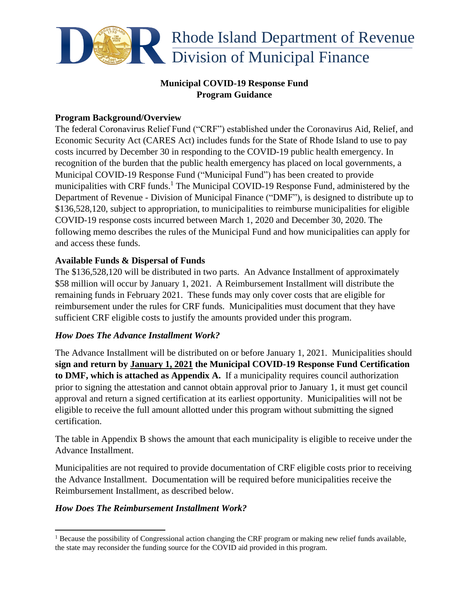

## **Municipal COVID-19 Response Fund Program Guidance**

### **Program Background/Overview**

The federal Coronavirus Relief Fund ("CRF") established under the Coronavirus Aid, Relief, and Economic Security Act (CARES Act) includes funds for the State of Rhode Island to use to pay costs incurred by December 30 in responding to the COVID-19 public health emergency. In recognition of the burden that the public health emergency has placed on local governments, a Municipal COVID-19 Response Fund ("Municipal Fund") has been created to provide municipalities with CRF funds.<sup>1</sup> The Municipal COVID-19 Response Fund, administered by the Department of Revenue - Division of Municipal Finance ("DMF"), is designed to distribute up to \$136,528,120, subject to appropriation, to municipalities to reimburse municipalities for eligible COVID-19 response costs incurred between March 1, 2020 and December 30, 2020. The following memo describes the rules of the Municipal Fund and how municipalities can apply for and access these funds.

### **Available Funds & Dispersal of Funds**

The \$136,528,120 will be distributed in two parts. An Advance Installment of approximately \$58 million will occur by January 1, 2021. A Reimbursement Installment will distribute the remaining funds in February 2021. These funds may only cover costs that are eligible for reimbursement under the rules for CRF funds. Municipalities must document that they have sufficient CRF eligible costs to justify the amounts provided under this program.

#### *How Does The Advance Installment Work?*

The Advance Installment will be distributed on or before January 1, 2021. Municipalities should **sign and return by January 1, 2021 the Municipal COVID-19 Response Fund Certification to DMF, which is attached as Appendix A.** If a municipality requires council authorization prior to signing the attestation and cannot obtain approval prior to January 1, it must get council approval and return a signed certification at its earliest opportunity. Municipalities will not be eligible to receive the full amount allotted under this program without submitting the signed certification.

The table in Appendix B shows the amount that each municipality is eligible to receive under the Advance Installment.

Municipalities are not required to provide documentation of CRF eligible costs prior to receiving the Advance Installment. Documentation will be required before municipalities receive the Reimbursement Installment, as described below.

#### *How Does The Reimbursement Installment Work?*

<sup>&</sup>lt;sup>1</sup> Because the possibility of Congressional action changing the CRF program or making new relief funds available, the state may reconsider the funding source for the COVID aid provided in this program.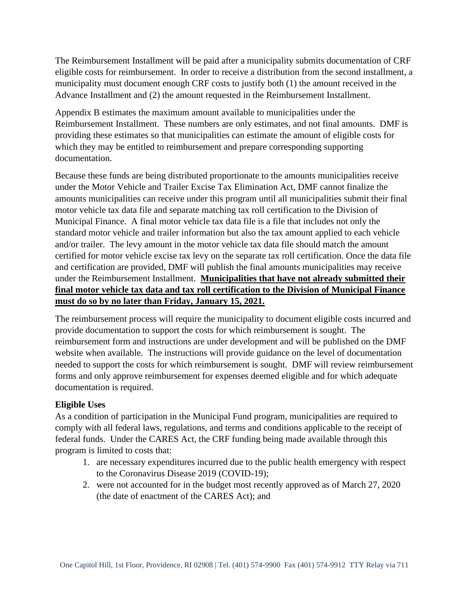The Reimbursement Installment will be paid after a municipality submits documentation of CRF eligible costs for reimbursement. In order to receive a distribution from the second installment, a municipality must document enough CRF costs to justify both (1) the amount received in the Advance Installment and (2) the amount requested in the Reimbursement Installment.

Appendix B estimates the maximum amount available to municipalities under the Reimbursement Installment. These numbers are only estimates, and not final amounts. DMF is providing these estimates so that municipalities can estimate the amount of eligible costs for which they may be entitled to reimbursement and prepare corresponding supporting documentation.

Because these funds are being distributed proportionate to the amounts municipalities receive under the Motor Vehicle and Trailer Excise Tax Elimination Act, DMF cannot finalize the amounts municipalities can receive under this program until all municipalities submit their final motor vehicle tax data file and separate matching tax roll certification to the Division of Municipal Finance. A final motor vehicle tax data file is a file that includes not only the standard motor vehicle and trailer information but also the tax amount applied to each vehicle and/or trailer. The levy amount in the motor vehicle tax data file should match the amount certified for motor vehicle excise tax levy on the separate tax roll certification. Once the data file and certification are provided, DMF will publish the final amounts municipalities may receive under the Reimbursement Installment. **Municipalities that have not already submitted their final motor vehicle tax data and tax roll certification to the Division of Municipal Finance must do so by no later than Friday, January 15, 2021.**

The reimbursement process will require the municipality to document eligible costs incurred and provide documentation to support the costs for which reimbursement is sought. The reimbursement form and instructions are under development and will be published on the DMF website when available. The instructions will provide guidance on the level of documentation needed to support the costs for which reimbursement is sought. DMF will review reimbursement forms and only approve reimbursement for expenses deemed eligible and for which adequate documentation is required.

### **Eligible Uses**

As a condition of participation in the Municipal Fund program, municipalities are required to comply with all federal laws, regulations, and terms and conditions applicable to the receipt of federal funds. Under the CARES Act, the CRF funding being made available through this program is limited to costs that:

- 1. are necessary expenditures incurred due to the public health emergency with respect to the Coronavirus Disease 2019 (COVID-19);
- 2. were not accounted for in the budget most recently approved as of March 27, 2020 (the date of enactment of the CARES Act); and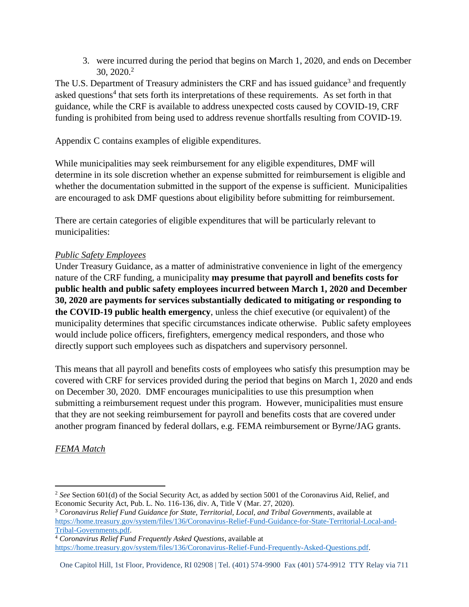3. were incurred during the period that begins on March 1, 2020, and ends on December 30, 2020.<sup>2</sup>

The U.S. Department of Treasury administers the CRF and has issued guidance<sup>3</sup> and frequently asked questions<sup>4</sup> that sets forth its interpretations of these requirements. As set forth in that guidance, while the CRF is available to address unexpected costs caused by COVID-19, CRF funding is prohibited from being used to address revenue shortfalls resulting from COVID-19.

Appendix C contains examples of eligible expenditures.

While municipalities may seek reimbursement for any eligible expenditures, DMF will determine in its sole discretion whether an expense submitted for reimbursement is eligible and whether the documentation submitted in the support of the expense is sufficient. Municipalities are encouraged to ask DMF questions about eligibility before submitting for reimbursement.

There are certain categories of eligible expenditures that will be particularly relevant to municipalities:

## *Public Safety Employees*

Under Treasury Guidance, as a matter of administrative convenience in light of the emergency nature of the CRF funding, a municipality **may presume that payroll and benefits costs for public health and public safety employees incurred between March 1, 2020 and December 30, 2020 are payments for services substantially dedicated to mitigating or responding to the COVID-19 public health emergency**, unless the chief executive (or equivalent) of the municipality determines that specific circumstances indicate otherwise. Public safety employees would include police officers, firefighters, emergency medical responders, and those who directly support such employees such as dispatchers and supervisory personnel.

This means that all payroll and benefits costs of employees who satisfy this presumption may be covered with CRF for services provided during the period that begins on March 1, 2020 and ends on December 30, 2020. DMF encourages municipalities to use this presumption when submitting a reimbursement request under this program. However, municipalities must ensure that they are not seeking reimbursement for payroll and benefits costs that are covered under another program financed by federal dollars, e.g. FEMA reimbursement or Byrne/JAG grants.

# *FEMA Match*

One Capitol Hill, 1st Floor, Providence, RI 02908 | Tel. (401) 574-9900 Fax (401) 574-9912 TTY Relay via 711

<sup>&</sup>lt;sup>2</sup> See Section 601(d) of the Social Security Act, as added by section 5001 of the Coronavirus Aid, Relief, and Economic Security Act, Pub. L. No. 116-136, div. A, Title V (Mar. 27, 2020).

<sup>3</sup> *Coronavirus Relief Fund Guidance for State, Territorial, Local, and Tribal Governments*, available at [https://home.treasury.gov/system/files/136/Coronavirus-Relief-Fund-Guidance-for-State-Territorial-Local-and-](https://home.treasury.gov/system/files/136/Coronavirus-Relief-Fund-Guidance-for-State-Territorial-Local-and-Tribal-Governments.pdf)[Tribal-Governments.pdf.](https://home.treasury.gov/system/files/136/Coronavirus-Relief-Fund-Guidance-for-State-Territorial-Local-and-Tribal-Governments.pdf)

<sup>4</sup> *Coronavirus Relief Fund Frequently Asked Questions*, available at

[https://home.treasury.gov/system/files/136/Coronavirus-Relief-Fund-Frequently-Asked-Questions.pdf.](https://home.treasury.gov/system/files/136/Coronavirus-Relief-Fund-Frequently-Asked-Questions.pdf)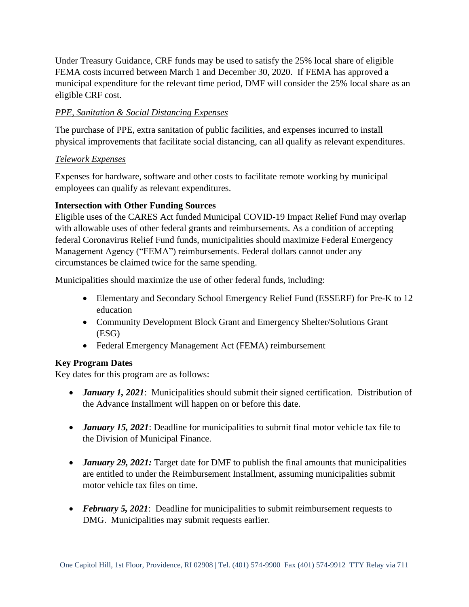Under Treasury Guidance, CRF funds may be used to satisfy the 25% local share of eligible FEMA costs incurred between March 1 and December 30, 2020. If FEMA has approved a municipal expenditure for the relevant time period, DMF will consider the 25% local share as an eligible CRF cost.

## *PPE, Sanitation & Social Distancing Expenses*

The purchase of PPE, extra sanitation of public facilities, and expenses incurred to install physical improvements that facilitate social distancing, can all qualify as relevant expenditures.

### *Telework Expenses*

Expenses for hardware, software and other costs to facilitate remote working by municipal employees can qualify as relevant expenditures.

## **Intersection with Other Funding Sources**

Eligible uses of the CARES Act funded Municipal COVID-19 Impact Relief Fund may overlap with allowable uses of other federal grants and reimbursements. As a condition of accepting federal Coronavirus Relief Fund funds, municipalities should maximize Federal Emergency Management Agency ("FEMA") reimbursements. Federal dollars cannot under any circumstances be claimed twice for the same spending.

Municipalities should maximize the use of other federal funds, including:

- Elementary and Secondary School Emergency Relief Fund (ESSERF) for Pre-K to 12 education
- Community Development Block Grant and Emergency Shelter/Solutions Grant (ESG)
- Federal Emergency Management Act (FEMA) reimbursement

# **Key Program Dates**

Key dates for this program are as follows:

- *January 1, 2021*: Municipalities should submit their signed certification. Distribution of the Advance Installment will happen on or before this date.
- *January 15, 2021*: Deadline for municipalities to submit final motor vehicle tax file to the Division of Municipal Finance.
- *January 29, 2021:* Target date for DMF to publish the final amounts that municipalities are entitled to under the Reimbursement Installment, assuming municipalities submit motor vehicle tax files on time.
- *February 5, 2021*: Deadline for municipalities to submit reimbursement requests to DMG. Municipalities may submit requests earlier.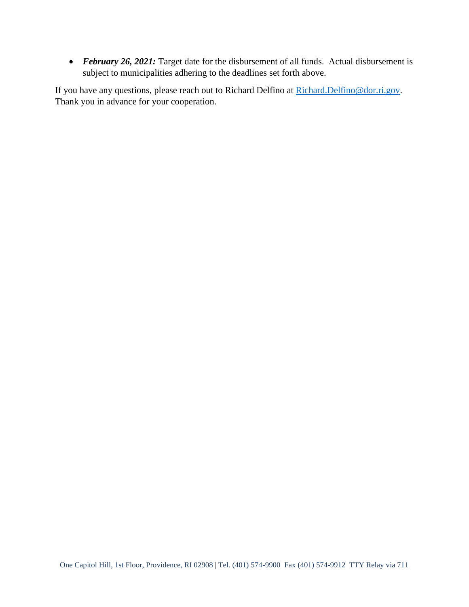• *February 26, 2021:* Target date for the disbursement of all funds. Actual disbursement is subject to municipalities adhering to the deadlines set forth above.

If you have any questions, please reach out to Richard Delfino at [Richard.Delfino@dor.ri.gov.](mailto:Richard.Delfino@dor.ri.gov) Thank you in advance for your cooperation.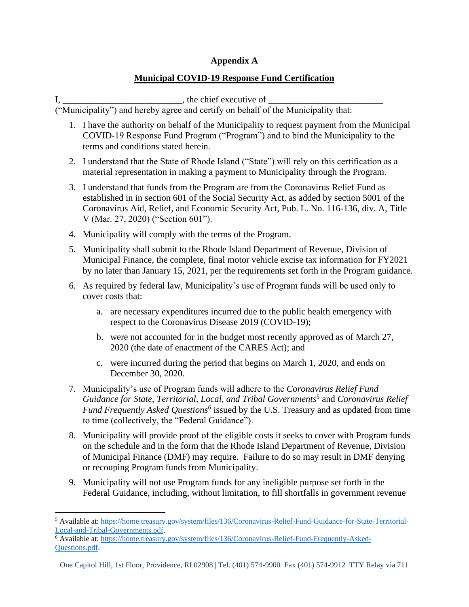#### **Appendix A**

### **Municipal COVID-19 Response Fund Certification**

I, \_\_\_\_\_\_\_\_\_\_\_\_\_\_\_\_\_\_\_\_\_\_\_\_\_\_, the chief executive of \_\_\_\_\_\_\_\_\_\_\_\_\_\_\_\_\_\_\_\_\_\_\_\_\_

("Municipality") and hereby agree and certify on behalf of the Municipality that:

- 1. I have the authority on behalf of the Municipality to request payment from the Municipal COVID-19 Response Fund Program ("Program") and to bind the Municipality to the terms and conditions stated herein.
- 2. I understand that the State of Rhode Island ("State") will rely on this certification as a material representation in making a payment to Municipality through the Program.
- 3. I understand that funds from the Program are from the Coronavirus Relief Fund as established in in section 601 of the Social Security Act, as added by section 5001 of the Coronavirus Aid, Relief, and Economic Security Act, Pub. L. No. 116-136, div. A, Title V (Mar. 27, 2020) ("Section 601").
- 4. Municipality will comply with the terms of the Program.
- 5. Municipality shall submit to the Rhode Island Department of Revenue, Division of Municipal Finance, the complete, final motor vehicle excise tax information for FY2021 by no later than January 15, 2021, per the requirements set forth in the Program guidance.
- 6. As required by federal law, Municipality's use of Program funds will be used only to cover costs that:
	- a. are necessary expenditures incurred due to the public health emergency with respect to the Coronavirus Disease 2019 (COVID-19);
	- b. were not accounted for in the budget most recently approved as of March 27, 2020 (the date of enactment of the CARES Act); and
	- c. were incurred during the period that begins on March 1, 2020, and ends on December 30, 2020.
- 7. Municipality's use of Program funds will adhere to the *Coronavirus Relief Fund Guidance for State, Territorial, Local, and Tribal Governments*<sup>5</sup> and *Coronavirus Relief*  Fund Frequently Asked Questions<sup>6</sup> issued by the U.S. Treasury and as updated from time to time (collectively, the "Federal Guidance").
- 8. Municipality will provide proof of the eligible costs it seeks to cover with Program funds on the schedule and in the form that the Rhode Island Department of Revenue, Division of Municipal Finance (DMF) may require. Failure to do so may result in DMF denying or recouping Program funds from Municipality.
- 9. Municipality will not use Program funds for any ineligible purpose set forth in the Federal Guidance, including, without limitation, to fill shortfalls in government revenue

<sup>6</sup> Available at[: https://home.treasury.gov/system/files/136/Coronavirus-Relief-Fund-Frequently-Asked-](https://home.treasury.gov/system/files/136/Coronavirus-Relief-Fund-Frequently-Asked-Questions.pdf)[Questions.pdf.](https://home.treasury.gov/system/files/136/Coronavirus-Relief-Fund-Frequently-Asked-Questions.pdf)

<sup>5</sup> Available at[: https://home.treasury.gov/system/files/136/Coronavirus-Relief-Fund-Guidance-for-State-Territorial-](https://home.treasury.gov/system/files/136/Coronavirus-Relief-Fund-Guidance-for-State-Territorial-Local-and-Tribal-Governments.pdf)[Local-and-Tribal-Governments.pdf.](https://home.treasury.gov/system/files/136/Coronavirus-Relief-Fund-Guidance-for-State-Territorial-Local-and-Tribal-Governments.pdf)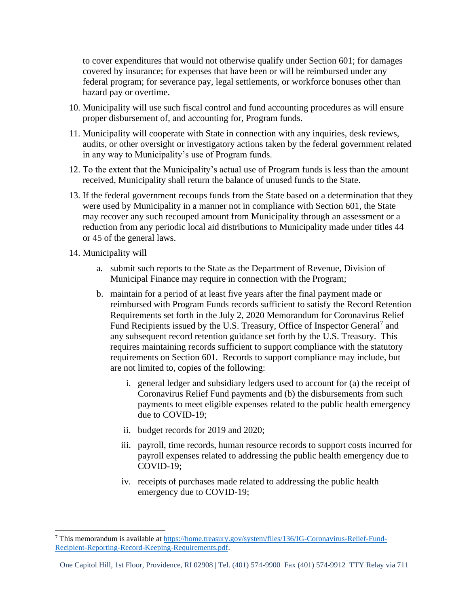to cover expenditures that would not otherwise qualify under Section 601; for damages covered by insurance; for expenses that have been or will be reimbursed under any federal program; for severance pay, legal settlements, or workforce bonuses other than hazard pay or overtime.

- 10. Municipality will use such fiscal control and fund accounting procedures as will ensure proper disbursement of, and accounting for, Program funds.
- 11. Municipality will cooperate with State in connection with any inquiries, desk reviews, audits, or other oversight or investigatory actions taken by the federal government related in any way to Municipality's use of Program funds.
- 12. To the extent that the Municipality's actual use of Program funds is less than the amount received, Municipality shall return the balance of unused funds to the State.
- 13. If the federal government recoups funds from the State based on a determination that they were used by Municipality in a manner not in compliance with Section 601, the State may recover any such recouped amount from Municipality through an assessment or a reduction from any periodic local aid distributions to Municipality made under titles 44 or 45 of the general laws.
- 14. Municipality will
	- a. submit such reports to the State as the Department of Revenue, Division of Municipal Finance may require in connection with the Program;
	- b. maintain for a period of at least five years after the final payment made or reimbursed with Program Funds records sufficient to satisfy the Record Retention Requirements set forth in the July 2, 2020 Memorandum for Coronavirus Relief Fund Recipients issued by the U.S. Treasury, Office of Inspector General<sup>7</sup> and any subsequent record retention guidance set forth by the U.S. Treasury. This requires maintaining records sufficient to support compliance with the statutory requirements on Section 601. Records to support compliance may include, but are not limited to, copies of the following:
		- i. general ledger and subsidiary ledgers used to account for (a) the receipt of Coronavirus Relief Fund payments and (b) the disbursements from such payments to meet eligible expenses related to the public health emergency due to COVID-19;
		- ii. budget records for 2019 and 2020;
		- iii. payroll, time records, human resource records to support costs incurred for payroll expenses related to addressing the public health emergency due to COVID-19;
		- iv. receipts of purchases made related to addressing the public health emergency due to COVID-19;

<sup>7</sup> This memorandum is available a[t https://home.treasury.gov/system/files/136/IG-Coronavirus-Relief-Fund-](https://home.treasury.gov/system/files/136/IG-Coronavirus-Relief-Fund-Recipient-Reporting-Record-Keeping-Requirements.pdf)[Recipient-Reporting-Record-Keeping-Requirements.pdf.](https://home.treasury.gov/system/files/136/IG-Coronavirus-Relief-Fund-Recipient-Reporting-Record-Keeping-Requirements.pdf)

One Capitol Hill, 1st Floor, Providence, RI 02908 | Tel. (401) 574-9900 Fax (401) 574-9912 TTY Relay via 711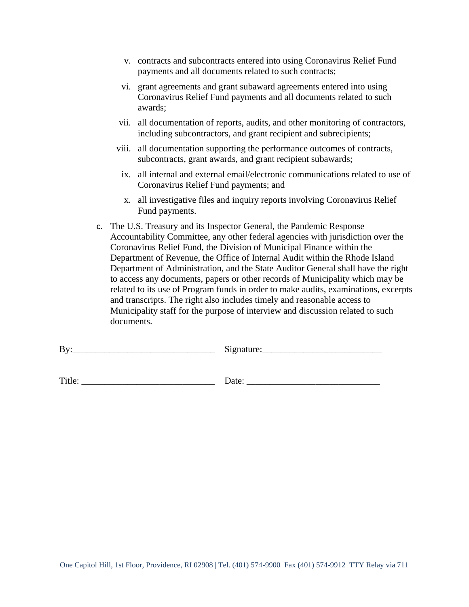- v. contracts and subcontracts entered into using Coronavirus Relief Fund payments and all documents related to such contracts;
- vi. grant agreements and grant subaward agreements entered into using Coronavirus Relief Fund payments and all documents related to such awards;
- vii. all documentation of reports, audits, and other monitoring of contractors, including subcontractors, and grant recipient and subrecipients;
- viii. all documentation supporting the performance outcomes of contracts, subcontracts, grant awards, and grant recipient subawards;
	- ix. all internal and external email/electronic communications related to use of Coronavirus Relief Fund payments; and
	- x. all investigative files and inquiry reports involving Coronavirus Relief Fund payments.
- c. The U.S. Treasury and its Inspector General, the Pandemic Response Accountability Committee, any other federal agencies with jurisdiction over the Coronavirus Relief Fund, the Division of Municipal Finance within the Department of Revenue, the Office of Internal Audit within the Rhode Island Department of Administration, and the State Auditor General shall have the right to access any documents, papers or other records of Municipality which may be related to its use of Program funds in order to make audits, examinations, excerpts and transcripts. The right also includes timely and reasonable access to Municipality staff for the purpose of interview and discussion related to such documents.

| By:    | Signature: |  |
|--------|------------|--|
|        |            |  |
| Title: | Date:      |  |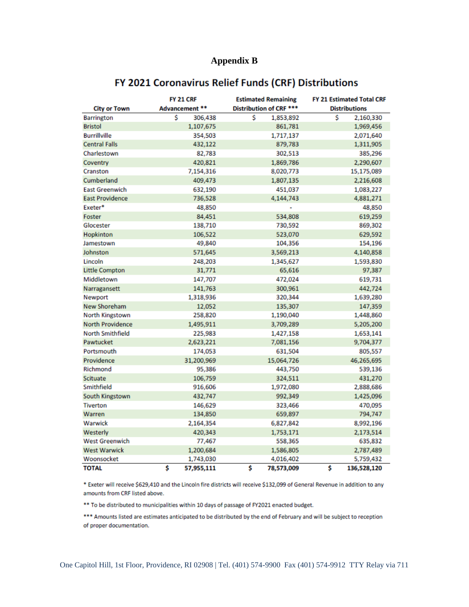### **Appendix B**

|                         | <b>FY 21 CRF</b> | <b>Estimated Remaining</b> | <b>FY 21 Estimated Total CRF</b> |
|-------------------------|------------------|----------------------------|----------------------------------|
| <b>City or Town</b>     | Advancement **   | Distribution of CRF ***    | <b>Distributions</b>             |
| <b>Barrington</b>       | \$<br>306,438    | \$<br>1,853,892            | \$<br>2,160,330                  |
| <b>Bristol</b>          | 1,107,675        | 861,781                    | 1,969,456                        |
| <b>Burrillville</b>     | 354,503          | 1,717,137                  | 2,071,640                        |
| <b>Central Falls</b>    | 432,122          | 879,783                    | 1,311,905                        |
| Charlestown             | 82,783           | 302,513                    | 385,296                          |
| Coventry                | 420,821          | 1,869,786                  | 2,290,607                        |
| Cranston                | 7,154,316        | 8,020,773                  | 15,175,089                       |
| Cumberland              | 409,473          | 1,807,135                  | 2,216,608                        |
| <b>East Greenwich</b>   | 632,190          | 451,037                    | 1,083,227                        |
| <b>East Providence</b>  | 736,528          | 4,144,743                  | 4,881,271                        |
| Exeter*                 | 48,850           | ٠                          | 48,850                           |
| Foster                  | 84,451           | 534,808                    | 619,259                          |
| Glocester               | 138,710          | 730,592                    | 869,302                          |
| Hopkinton               | 106,522          | 523,070                    | 629,592                          |
| Jamestown               | 49,840           | 104,356                    | 154,196                          |
| Johnston                | 571,645          | 3,569,213                  | 4,140,858                        |
| Lincoln                 | 248,203          | 1,345,627                  | 1,593,830                        |
| <b>Little Compton</b>   | 31,771           | 65,616                     | 97,387                           |
| Middletown              | 147,707          | 472,024                    | 619,731                          |
| Narragansett            | 141,763          | 300,961                    | 442,724                          |
| Newport                 | 1,318,936        | 320,344                    | 1,639,280                        |
| New Shoreham            | 12,052           | 135,307                    | 147,359                          |
| North Kingstown         | 258,820          | 1,190,040                  | 1,448,860                        |
| <b>North Providence</b> | 1,495,911        | 3,709,289                  | 5,205,200                        |
| <b>North Smithfield</b> | 225,983          | 1,427,158                  | 1,653,141                        |
| Pawtucket               | 2,623,221        | 7,081,156                  | 9,704,377                        |
| Portsmouth              | 174,053          | 631,504                    | 805,557                          |
| Providence              | 31,200,969       | 15,064,726                 | 46,265,695                       |
| Richmond                | 95,386           | 443,750                    | 539,136                          |
| Scituate                | 106,759          | 324,511                    | 431,270                          |
| Smithfield              | 916,606          | 1,972,080                  | 2,888,686                        |
| South Kingstown         | 432,747          | 992,349                    | 1,425,096                        |
| <b>Tiverton</b>         | 146,629          | 323,466                    | 470,095                          |
| Warren                  | 134,850          | 659,897                    | 794,747                          |
| Warwick                 | 2,164,354        | 6,827,842                  | 8,992,196                        |
| Westerly                | 420,343          | 1,753,171                  | 2,173,514                        |
| <b>West Greenwich</b>   | 77,467           | 558,365                    | 635,832                          |
| <b>West Warwick</b>     | 1,200,684        | 1,586,805                  | 2,787,489                        |
| Woonsocket              | 1,743,030        | 4,016,402                  | 5,759,432                        |
| <b>TOTAL</b>            | \$<br>57,955,111 | \$<br>78,573,009           | \$<br>136,528,120                |

# FY 2021 Coronavirus Relief Funds (CRF) Distributions

\* Exeter will receive \$629,410 and the Lincoln fire districts will receive \$132,099 of General Revenue in addition to any amounts from CRF listed above.

\*\* To be distributed to municipalities within 10 days of passage of FY2021 enacted budget.

\*\*\* Amounts listed are estimates anticipated to be distributed by the end of February and will be subject to reception of proper documentation.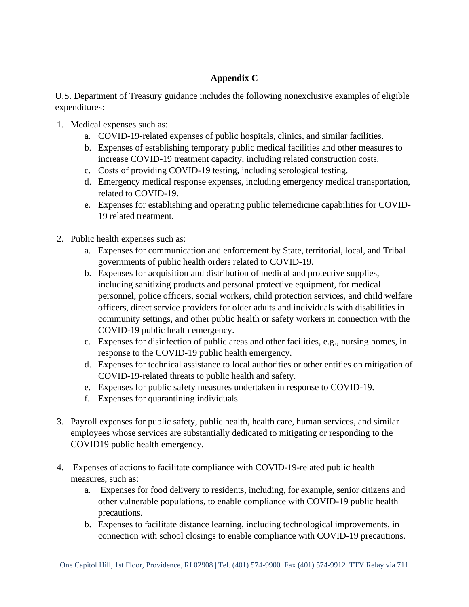# **Appendix C**

U.S. Department of Treasury guidance includes the following nonexclusive examples of eligible expenditures:

- 1. Medical expenses such as:
	- a. COVID-19-related expenses of public hospitals, clinics, and similar facilities.
	- b. Expenses of establishing temporary public medical facilities and other measures to increase COVID-19 treatment capacity, including related construction costs.
	- c. Costs of providing COVID-19 testing, including serological testing.
	- d. Emergency medical response expenses, including emergency medical transportation, related to COVID-19.
	- e. Expenses for establishing and operating public telemedicine capabilities for COVID-19 related treatment.
- 2. Public health expenses such as:
	- a. Expenses for communication and enforcement by State, territorial, local, and Tribal governments of public health orders related to COVID-19.
	- b. Expenses for acquisition and distribution of medical and protective supplies, including sanitizing products and personal protective equipment, for medical personnel, police officers, social workers, child protection services, and child welfare officers, direct service providers for older adults and individuals with disabilities in community settings, and other public health or safety workers in connection with the COVID-19 public health emergency.
	- c. Expenses for disinfection of public areas and other facilities, e.g., nursing homes, in response to the COVID-19 public health emergency.
	- d. Expenses for technical assistance to local authorities or other entities on mitigation of COVID-19-related threats to public health and safety.
	- e. Expenses for public safety measures undertaken in response to COVID-19.
	- f. Expenses for quarantining individuals.
- 3. Payroll expenses for public safety, public health, health care, human services, and similar employees whose services are substantially dedicated to mitigating or responding to the COVID19 public health emergency.
- 4. Expenses of actions to facilitate compliance with COVID-19-related public health measures, such as:
	- a. Expenses for food delivery to residents, including, for example, senior citizens and other vulnerable populations, to enable compliance with COVID-19 public health precautions.
	- b. Expenses to facilitate distance learning, including technological improvements, in connection with school closings to enable compliance with COVID-19 precautions.